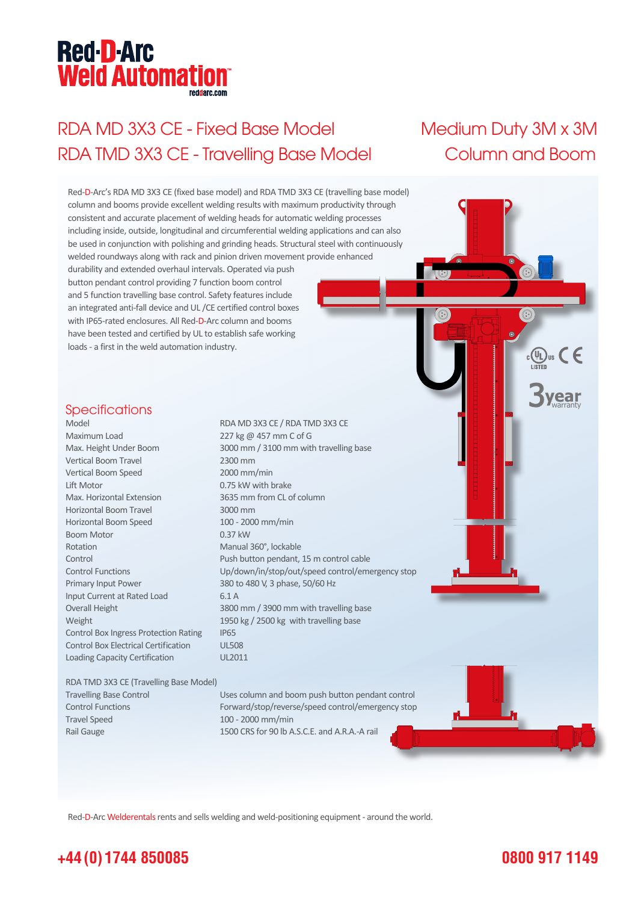# **Red-D-Arc Weld Automation®**

## RDA MD 3X3 CE - Fixed Base Model Medium Duty 3M x 3M RDA TMD 3X3 CE - Travelling Base Model Column and Boom

'ear



Red-D-Arc Welderentals rents and sells welding and weld-positioning equipment - around the world.

### **+44 (0) 1744 850085**

### **0800 917 1149**